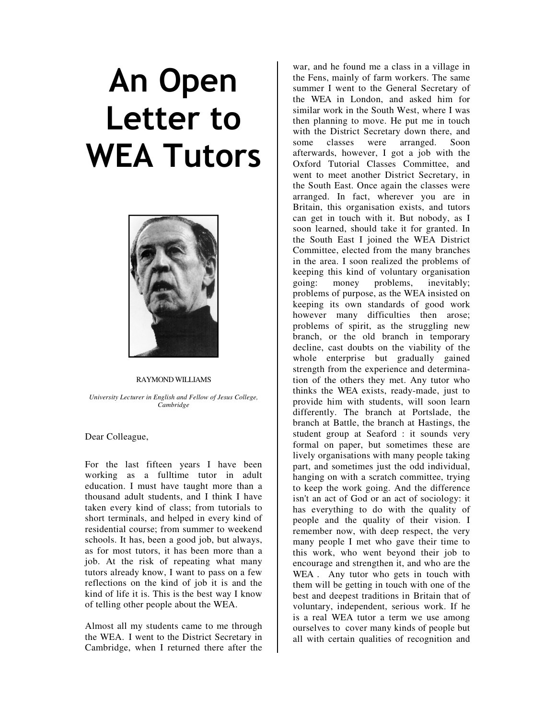## An Open Letter to WEA Tutors



## RAYMOND WILLIAMS

*University Lecturer in English and Fellow of Jesus College, Cambridge* 

Dear Colleague,

For the last fifteen years I have been working as a fulltime tutor in adult education. I must have taught more than a thousand adult students, and I think I have taken every kind of class; from tutorials to short terminals, and helped in every kind of residential course; from summer to weekend schools. It has, been a good job, but always, as for most tutors, it has been more than a job. At the risk of repeating what many tutors already know, I want to pass on a few reflections on the kind of job it is and the kind of life it is. This is the best way I know of telling other people about the WEA.

Almost all my students came to me through the WEA. I went to the District Secretary in Cambridge, when I returned there after the

war, and he found me a class in a village in the Fens, mainly of farm workers. The same summer I went to the General Secretary of the WEA in London, and asked him for similar work in the South West, where I was then planning to move. He put me in touch with the District Secretary down there, and some classes were arranged. Soon afterwards, however, I got a job with the Oxford Tutorial Classes Committee, and went to meet another District Secretary, in the South East. Once again the classes were arranged. In fact, wherever you are in Britain, this organisation exists, and tutors can get in touch with it. But nobody, as I soon learned, should take it for granted. In the South East I joined the WEA District Committee, elected from the many branches in the area. I soon realized the problems of keeping this kind of voluntary organisation going: money problems, inevitably; problems of purpose, as the WEA insisted on keeping its own standards of good work however many difficulties then arose; problems of spirit, as the struggling new branch, or the old branch in temporary decline, cast doubts on the viability of the whole enterprise but gradually gained strength from the experience and determination of the others they met. Any tutor who thinks the WEA exists, ready-made, just to provide him with students, will soon learn differently. The branch at Portslade, the branch at Battle, the branch at Hastings, the student group at Seaford : it sounds very formal on paper, but sometimes these are lively organisations with many people taking part, and sometimes just the odd individual, hanging on with a scratch committee, trying to keep the work going. And the difference isn't an act of God or an act of sociology: it has everything to do with the quality of people and the quality of their vision. I remember now, with deep respect, the very many people I met who gave their time to this work, who went beyond their job to encourage and strengthen it, and who are the WEA . Any tutor who gets in touch with them will be getting in touch with one of the best and deepest traditions in Britain that of voluntary, independent, serious work. If he is a real WEA tutor a term we use among ourselves to cover many kinds of people but all with certain qualities of recognition and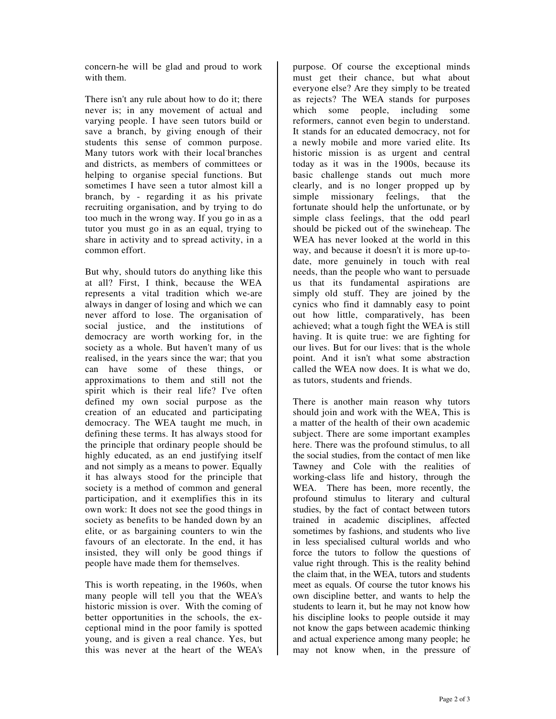concern-he will be glad and proud to work with them.

There isn't any rule about how to do it; there never is; in any movement of actual and varying people. I have seen tutors build or save a branch, by giving enough of their students this sense of common purpose. Many tutors work with their local-branches and districts, as members of committees or helping to organise special functions. But sometimes I have seen a tutor almost kill a branch, by - regarding it as his private recruiting organisation, and by trying to do too much in the wrong way. If you go in as a tutor you must go in as an equal, trying to share in activity and to spread activity, in a common effort.

But why, should tutors do anything like this at all? First, I think, because the WEA represents a vital tradition which we-are always in danger of losing and which we can never afford to lose. The organisation of social justice, and the institutions of democracy are worth working for, in the society as a whole. But haven't many of us realised, in the years since the war; that you can have some of these things, or approximations to them and still not the spirit which is their real life? I've often defined my own social purpose as the creation of an educated and participating democracy. The WEA taught me much, in defining these terms. It has always stood for the principle that ordinary people should be highly educated, as an end justifying itself and not simply as a means to power. Equally it has always stood for the principle that society is a method of common and general participation, and it exemplifies this in its own work: It does not see the good things in society as benefits to be handed down by an elite, or as bargaining counters to win the favours of an electorate. In the end, it has insisted, they will only be good things if people have made them for themselves.

This is worth repeating, in the 1960s, when many people will tell you that the WEA's historic mission is over. With the coming of better opportunities in the schools, the exceptional mind in the poor family is spotted young, and is given a real chance. Yes, but this was never at the heart of the WEA's

purpose. Of course the exceptional minds must get their chance, but what about everyone else? Are they simply to be treated as rejects? The WEA stands for purposes which some people, including some reformers, cannot even begin to understand. It stands for an educated democracy, not for a newly mobile and more varied elite. Its historic mission is as urgent and central today as it was in the 1900s, because its basic challenge stands out much more clearly, and is no longer propped up by simple missionary feelings, that the fortunate should help the unfortunate, or by simple class feelings, that the odd pearl should be picked out of the swineheap. The WEA has never looked at the world in this way, and because it doesn't it is more up-todate, more genuinely in touch with real needs, than the people who want to persuade us that its fundamental aspirations are simply old stuff. They are joined by the cynics who find it damnably easy to point out how little, comparatively, has been achieved; what a tough fight the WEA is still having. It is quite true: we are fighting for our lives. But for our lives: that is the whole point. And it isn't what some abstraction called the WEA now does. It is what we do, as tutors, students and friends.

There is another main reason why tutors should join and work with the WEA, This is a matter of the health of their own academic subject. There are some important examples here. There was the profound stimulus, to all the social studies, from the contact of men like Tawney and Cole with the realities of working-class life and history, through the WEA. There has been, more recently, the profound stimulus to literary and cultural studies, by the fact of contact between tutors trained in academic disciplines, affected sometimes by fashions, and students who live in less specialised cultural worlds and who force the tutors to follow the questions of value right through. This is the reality behind the claim that, in the WEA, tutors and students meet as equals. Of course the tutor knows his own discipline better, and wants to help the students to learn it, but he may not know how his discipline looks to people outside it may not know the gaps between academic thinking and actual experience among many people; he may not know when, in the pressure of